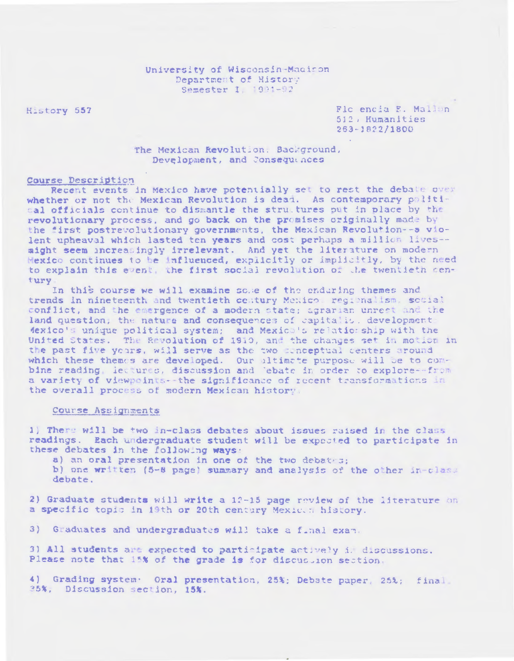## University of Wisconsin-Macison Department of History Semester I 1921-92

History 557

Flo encia F. Malion 512, Humanities  $263 - 1822/1800$ 

The Mexican Revolution. Background, Development, and Consequinces

## Course Description

Recent events in Mexico have potentially set to rest the debate over whether or not the Mexican Revolution is dead. As contemporary political officials continue to dismantle the structures put in place by the revolutionary process, and go back on the promises originally made by the first postrevolutionary governments, the Mexican Revolution--a violent upheaval which lasted ten years and cost perhaps a million lives-might seem increasingly irrelevant. And yet the literature on modern Hexico continues to be influenced, explicitly or implicitly, by the need to explain this event, the first social revolution of the twentieth century

In this course we will examine some of the enduring themes and trends in nineteenth and twentieth century Mexicos regionalism, social conflict, and the emergence of a modern state; agrarian unrest and the land question, the nature and consequences of capitalis, development dexico's unique political system; and Mexico's relationship with the United States. The Revolution of 1910, and the changes set in motion in the past five years, will serve as the two conceptual centers around which these themes are developed. Our altimate purpose will be to combine reading lectures, discussion and 'ebate in order to explore--from a variety of viewpoints -- the significance of recent transformations in the overall process of modern Mexican history.

## Course Assignments

1) There will be two in-class debates about issues raised in the class readings. Each undergraduate student will be expected to participate in these debates in the following ways:

a) an oral presentation in one of the two debates;

b) one written (5-8 page) summary and analysis of the other in-class debate.

2) Graduate students will write a 12-15 page review of the literature on a specific topic in 19th or 20th century Mexic. a history.

3) Graduates and undergraduates will take a final exam.

3) All students are expected to participate actively i. discussions. Please note that 15% of the grade is for discussion section.

4) Grading system. Oral presentation, 25%; Debate paper, 25%; final 25%, Discussion section, 15%.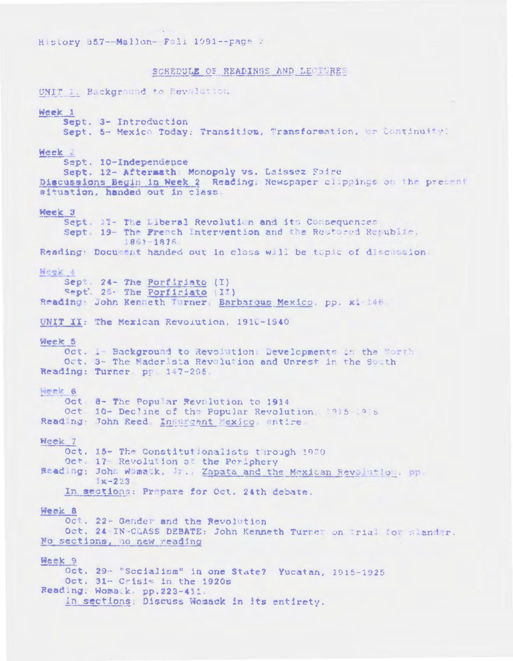## SCHEDULE OF READINGS AND LECTURES

UNIT 1: Background to Revolution Week 1 Sept. 3- Introduction Sept. 5- Mexico Today: Transition, Transformation, or Continuite: Week 2 Sept. 10-Independence Sept. 12- Aftermath Monopoly vs. Laissez Faire Discussions Begin in Week 2 Reading. Newspaper clippings on the present situation, handed out in class Week 3 Sept. 17- The Liberal Revolution and its Consequences Sept. 19- The French Intervention and the Restored Republic, 1861-1876 Reading: Document handed out in class will be topic of discussion. Neek 4 Sept. 24- The Porfiriato (I) Sept. 26- The Porfiriato (I') Reading: John Kenneth Turner, Barbarous Mexico, pp. xi 146. UNIT II: The Mexican Revolution, 1910-1940 Week 5 Oct. 1 Background to Revolution: Developments in the Morth Oct. 3- The Maderista Revolution and Unrest in the South Reading: Turner pp. 147-295 Week 6 Oct 8- The Popular Revolution to 1914 Oct 10- Declane of the Popular Revolution 1915 1915 Reading John Reed Insurgent Mexico, entire Week 7 Oct. 15- The Constitutionalists through 1920 Oct. 17- Revolution at the Periphery Reading: John Womask, Jr., Zapata and the Mexican Revolution, pp.  $1x - 223$ In sections: Prepare for Oct. 24th debate. Week 8 Oct. 22- Gender and the Revolution Oct. 24 IN-CLASS DEBATE: John Kenneth Turner on trial for slander. No sections, no new reading Week 9 Oct. 29- "Socialism" in one State? Yucatan, 1915-1925 Oct. 31- Crisis in the 1920s Reading. Womatk, pp.223-411. In sections: Discuss Womack in its entirety.